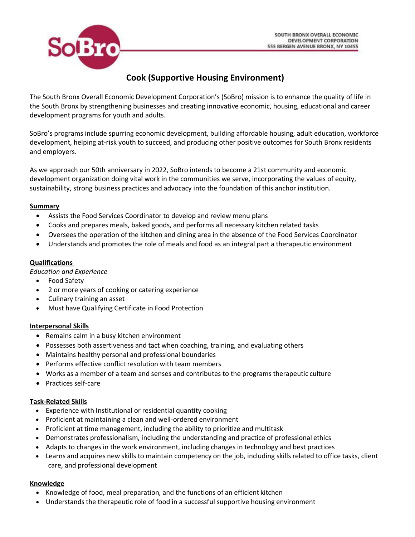

# **Cook (Supportive Housing Environment)**

The South Bronx Overall Economic Development Corporation's (SoBro) mission is to enhance the quality of life in the South Bronx by strengthening businesses and creating innovative economic, housing, educational and career development programs for youth and adults.

SoBro's programs include spurring economic development, building affordable housing, adult education, workforce development, helping at-risk youth to succeed, and producing other positive outcomes for South Bronx residents and employers.

As we approach our 50th anniversary in 2022, SoBro intends to become a 21st community and economic development organization doing vital work in the communities we serve, incorporating the values of equity, sustainability, strong business practices and advocacy into the foundation of this anchor institution.

#### **Summary**

- Assists the Food Services Coordinator to develop and review menu plans
- Cooks and prepares meals, baked goods, and performs all necessary kitchen related tasks
- Oversees the operation of the kitchen and dining area in the absence of the Food Services Coordinator
- Understands and promotes the role of meals and food as an integral part a therapeutic environment

#### **Qualifications**

*Education and Experience*

- Food Safety
- 2 or more years of cooking or catering experience
- Culinary training an asset
- Must have Qualifying Certificate in Food Protection

#### **Interpersonal Skills**

- Remains calm in a busy kitchen environment
- Possesses both assertiveness and tact when coaching, training, and evaluating others
- Maintains healthy personal and professional boundaries
- Performs effective conflict resolution with team members
- Works as a member of a team and senses and contributes to the programs therapeutic culture
- Practices self-care

#### **Task-Related Skills**

- Experience with Institutional or residential quantity cooking
- Proficient at maintaining a clean and well-ordered environment
- Proficient at time management, including the ability to prioritize and multitask
- Demonstrates professionalism, including the understanding and practice of professional ethics
- Adapts to changes in the work environment, including changes in technology and best practices
- Learns and acquires new skills to maintain competency on the job, including skills related to office tasks, client care, and professional development

#### **Knowledge**

- Knowledge of food, meal preparation, and the functions of an efficient kitchen
- Understands the therapeutic role of food in a successful supportive housing environment